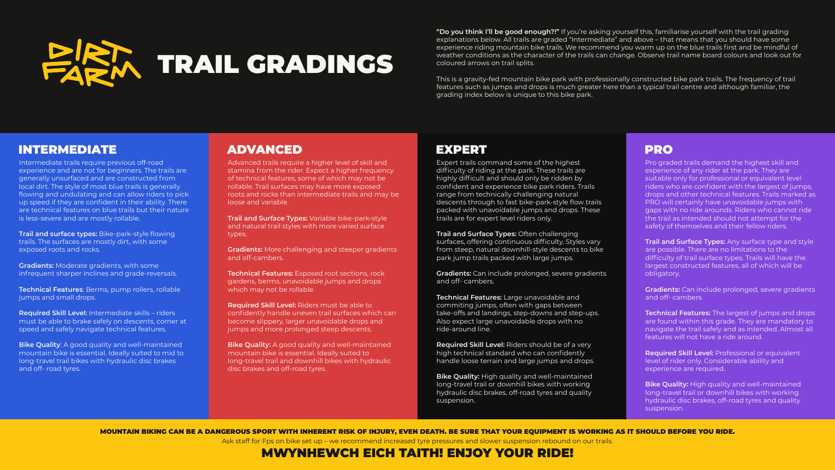#### MOUNTAIN BIKING CAN BE A DANGEROUS SPORT WITH INHERENT RISK OF INJURY, EVEN DEATH. BE SURE THAT YOUR EQUIPMENT IS WORKING AS IT SHOULD BEFORE YOU RIDE.

Ask staff for Fps on bike set up – we recommend increased tyre pressures and slower suspension rebound on our trails.



#### MWYNHEWCH EICH TAITH! ENJOY YOUR RIDE!



Intermediate trails require previous off-road experience and are not for beginners. The trails are generally unsurfaced and are constructed from local dirt. The style of most blue trails is generally flowing and undulating and can allow riders to pick up speed if they are confident in their ability. There are technical features on blue trails but their nature is less-severe and are mostly rollable.

**Bike Quality:** A good quality and well-maintained mountain bike is essential. Ideally suited to mid to long-travel trail bikes with hydraulic disc brakes and off- road tyres.

**Trail and surface types:** Bike-park-style flowing trails. The surfaces are mostly dirt, with some exposed roots and rocks.

**Gradients:** Moderate gradients, with some infrequent sharper inclines and grade-reversals.

**Technical Features**: Berms, pump rollers, rollable jumps and small drops.

**Required Skill Level:** Intermediate skills – riders must be able to brake safely on descents, corner at speed and safely navigate technical features.

# **PARTY TRAIL GRADINGS**

#### INTERMEDIATE

Advanced trails require a higher level of skill and stamina from the rider. Expect a higher frequency of technical features, some of which may not be rollable. Trail surfaces may have more exposed roots and rocks than intermediate trails and may be loose and variable.

**Trail and Surface Types:** Variable bike-park-style and natural trail styles with more varied surface types.

**Gradients:** More challenging and steeper gradients and off-cambers.

**Technical Features:** Exposed root sections, rock gardens, berms, unavoidable jumps and drops which may not be rollable.

**Required Skill Level:** Riders must be able to confidently handle uneven trail surfaces which can become slippery, larger unavoidable drops and jumps and more prolonged steep descents.

**Bike Quality:** A good quality and well-maintained mountain bike is essential. Ideally suited to long-travel trail and downhill bikes with hydraulic disc brakes and off-road tyres.

#### ADVANCED

Expert trails command some of the highest difficulty of riding at the park. These trails are highly difficult and should only be ridden by confident and experience bike park riders. Trails range from technically challenging natural descents through to fast bike-park-style flow trails packed with unavoidable jumps and drops. These trails are for expert level riders only.

**Trail and Surface Types:** Often challenging surfaces, offering continuous difficulty. Styles vary from steep, natural downhill-style descents to bike park jump trails packed with large jumps.

**Gradients:** Can include prolonged, severe gradients and off- cambers.

**Technical Features:** Large unavoidable and commiting jumps, often with gaps between take-offs and landings, step-downs and step-ups. Also expect large unavoidable drops with no ride-around line.

**Required Skill Level:** Riders should be of a very high technical standard who can confidently handle loose terrain and large jumps and drops.

**Bike Quality:** High quality and well-maintained long-travel trail or downhill bikes with working hydraulic disc brakes, off-road tyres and quality suspension.

**"Do you think I'll be good enough?!"** If you're asking yourself this, familiarise yourself with the trail grading explanations below. All trails are graded "Intermediate" and above – that means that you should have some experience riding mountain bike trails. We recommend you warm up on the blue trails first and be mindful of weather conditions as the character of the trails can change. Observe trail name board colours and look out for coloured arrows on trail splits.

This is a gravity-fed mountain bike park with professionally constructed bike park trails. The frequency of trail features such as jumps and drops is much greater here than a typical trail centre and although familiar, the grading index below is unique to this bike park.

#### EXPERT

Pro graded trails demand the highest skill and experience of any rider at the park. They are suitable only for professional or equivalent level riders who are confident with the largest of jumps, drops and other technical features. Trails marked as PRO will certainly have unavoidable jumps with gaps with no ride arounds. Riders who cannot ride the trail as intended should not attempt for the safety of themselves and their fellow riders. **Trail and Surface Types:** Any surface type and style

are possible. There are no limitations to the difficulty of trail surface types. Trails will have the largest constructed features, all of which will be obligatory.

**Gradients:** Can include prolonged, severe gradients and off- cambers.

**Technical Features:** The largest of jumps and drops are found within this grade. They are mandatory to navigate the trail safely and as intended. Almost all features will not have a ride around.

**Required Skill Level:** Professional or equivalent level of rider only. Considerable ability and experience are required.

**Bike Quality:** High quality and well-maintained long-travel trail or downhill bikes with working hydraulic disc brakes, off-road tyres and quality suspension.

#### PRO